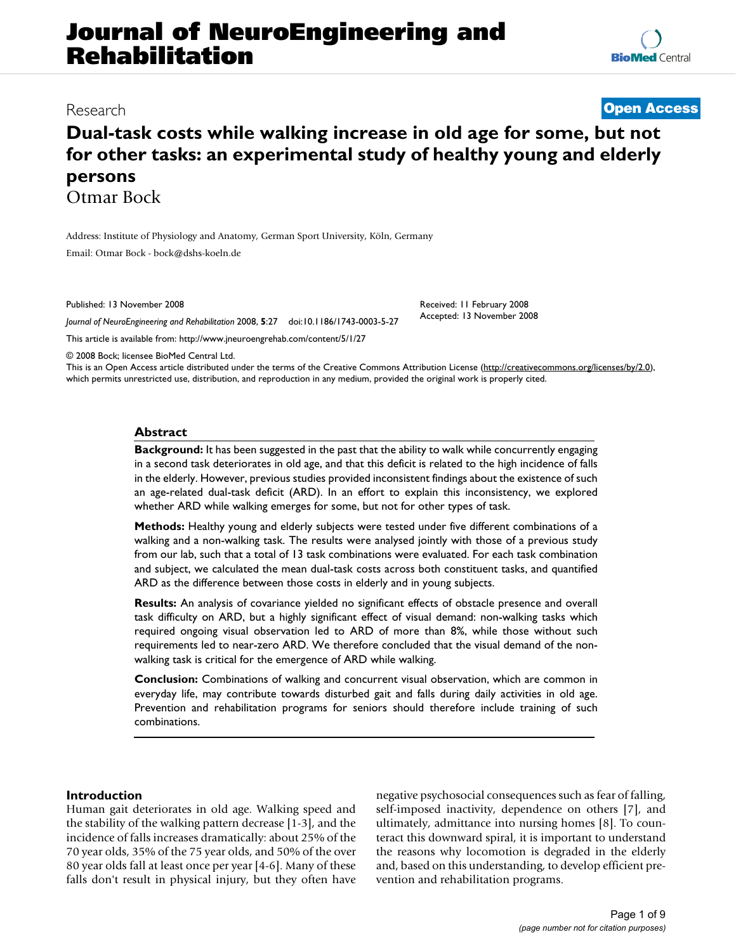# **Journal of NeuroEngineering and Rehabilitation**

**Dual-task costs while walking increase in old age for some, but not for other tasks: an experimental study of healthy young and elderly persons** Otmar Bock

Address: Institute of Physiology and Anatomy, German Sport University, Köln, Germany

Email: Otmar Bock - bock@dshs-koeln.de

Published: 13 November 2008

*Journal of NeuroEngineering and Rehabilitation* 2008, **5**:27 doi:10.1186/1743-0003-5-27

[This article is available from: http://www.jneuroengrehab.com/content/5/1/27](http://www.jneuroengrehab.com/content/5/1/27)

© 2008 Bock; licensee BioMed Central Ltd.

This is an Open Access article distributed under the terms of the Creative Commons Attribution License [\(http://creativecommons.org/licenses/by/2.0\)](http://creativecommons.org/licenses/by/2.0), which permits unrestricted use, distribution, and reproduction in any medium, provided the original work is properly cited.

#### **Abstract**

**Background:** It has been suggested in the past that the ability to walk while concurrently engaging in a second task deteriorates in old age, and that this deficit is related to the high incidence of falls in the elderly. However, previous studies provided inconsistent findings about the existence of such an age-related dual-task deficit (ARD). In an effort to explain this inconsistency, we explored whether ARD while walking emerges for some, but not for other types of task.

**Methods:** Healthy young and elderly subjects were tested under five different combinations of a walking and a non-walking task. The results were analysed jointly with those of a previous study from our lab, such that a total of 13 task combinations were evaluated. For each task combination and subject, we calculated the mean dual-task costs across both constituent tasks, and quantified ARD as the difference between those costs in elderly and in young subjects.

**Results:** An analysis of covariance yielded no significant effects of obstacle presence and overall task difficulty on ARD, but a highly significant effect of visual demand: non-walking tasks which required ongoing visual observation led to ARD of more than 8%, while those without such requirements led to near-zero ARD. We therefore concluded that the visual demand of the nonwalking task is critical for the emergence of ARD while walking.

**Conclusion:** Combinations of walking and concurrent visual observation, which are common in everyday life, may contribute towards disturbed gait and falls during daily activities in old age. Prevention and rehabilitation programs for seniors should therefore include training of such combinations.

### **Introduction**

Human gait deteriorates in old age. Walking speed and the stability of the walking pattern decrease [1-3], and the incidence of falls increases dramatically: about 25% of the 70 year olds, 35% of the 75 year olds, and 50% of the over 80 year olds fall at least once per year [4-6]. Many of these falls don't result in physical injury, but they often have negative psychosocial consequences such as fear of falling, self-imposed inactivity, dependence on others [7], and ultimately, admittance into nursing homes [8]. To counteract this downward spiral, it is important to understand the reasons why locomotion is degraded in the elderly and, based on this understanding, to develop efficient prevention and rehabilitation programs.

## Research **[Open Access](http://www.biomedcentral.com/info/about/charter/)**

Received: 11 February 2008 Accepted: 13 November 2008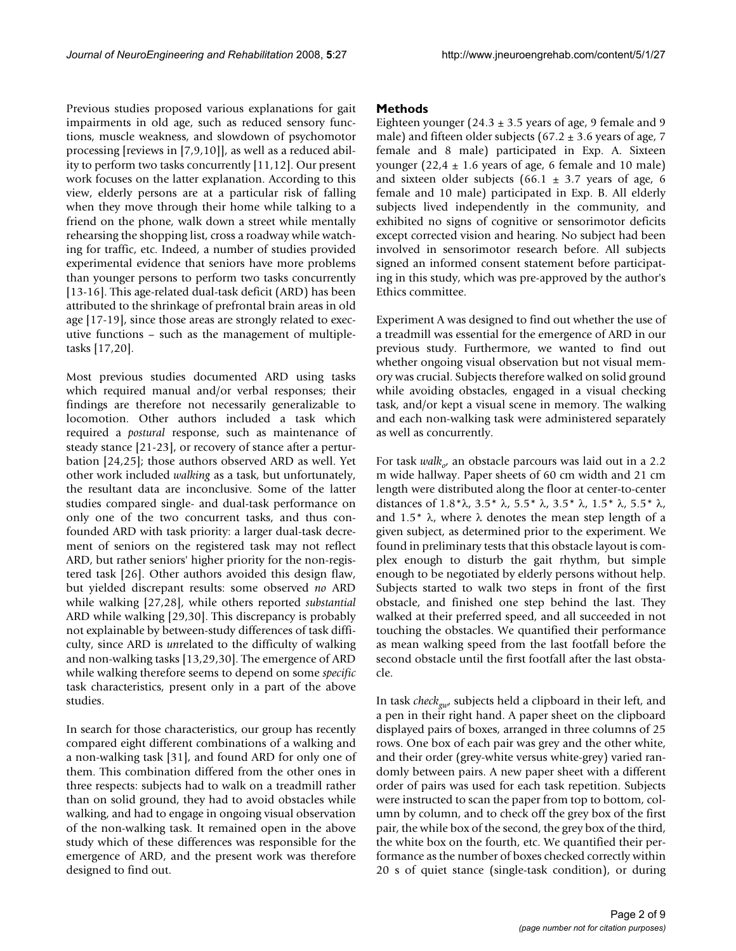Previous studies proposed various explanations for gait impairments in old age, such as reduced sensory functions, muscle weakness, and slowdown of psychomotor processing [reviews in [7,9,10]], as well as a reduced ability to perform two tasks concurrently [11,12]. Our present work focuses on the latter explanation. According to this view, elderly persons are at a particular risk of falling when they move through their home while talking to a friend on the phone, walk down a street while mentally rehearsing the shopping list, cross a roadway while watching for traffic, etc. Indeed, a number of studies provided experimental evidence that seniors have more problems than younger persons to perform two tasks concurrently [13-16]. This age-related dual-task deficit (ARD) has been attributed to the shrinkage of prefrontal brain areas in old age [17-19], since those areas are strongly related to executive functions – such as the management of multipletasks [17,20].

Most previous studies documented ARD using tasks which required manual and/or verbal responses; their findings are therefore not necessarily generalizable to locomotion. Other authors included a task which required a *postural* response, such as maintenance of steady stance [21-23], or recovery of stance after a perturbation [24,25]; those authors observed ARD as well. Yet other work included *walking* as a task, but unfortunately, the resultant data are inconclusive. Some of the latter studies compared single- and dual-task performance on only one of the two concurrent tasks, and thus confounded ARD with task priority: a larger dual-task decrement of seniors on the registered task may not reflect ARD, but rather seniors' higher priority for the non-registered task [26]. Other authors avoided this design flaw, but yielded discrepant results: some observed *no* ARD while walking [27,28], while others reported *substantial* ARD while walking [29,30]. This discrepancy is probably not explainable by between-study differences of task difficulty, since ARD is *un*related to the difficulty of walking and non-walking tasks [13,29,30]. The emergence of ARD while walking therefore seems to depend on some *specific* task characteristics, present only in a part of the above studies.

In search for those characteristics, our group has recently compared eight different combinations of a walking and a non-walking task [31], and found ARD for only one of them. This combination differed from the other ones in three respects: subjects had to walk on a treadmill rather than on solid ground, they had to avoid obstacles while walking, and had to engage in ongoing visual observation of the non-walking task. It remained open in the above study which of these differences was responsible for the emergence of ARD, and the present work was therefore designed to find out.

#### **Methods**

Eighteen younger (24.3  $\pm$  3.5 years of age, 9 female and 9 male) and fifteen older subjects (67.2  $\pm$  3.6 years of age, 7 female and 8 male) participated in Exp. A. Sixteen younger (22,4  $\pm$  1.6 years of age, 6 female and 10 male) and sixteen older subjects (66.1  $\pm$  3.7 years of age, 6 female and 10 male) participated in Exp. B. All elderly subjects lived independently in the community, and exhibited no signs of cognitive or sensorimotor deficits except corrected vision and hearing. No subject had been involved in sensorimotor research before. All subjects signed an informed consent statement before participating in this study, which was pre-approved by the author's Ethics committee.

Experiment A was designed to find out whether the use of a treadmill was essential for the emergence of ARD in our previous study. Furthermore, we wanted to find out whether ongoing visual observation but not visual memory was crucial. Subjects therefore walked on solid ground while avoiding obstacles, engaged in a visual checking task, and/or kept a visual scene in memory. The walking and each non-walking task were administered separately as well as concurrently.

For task *walk*<sup>*o*</sup>, an obstacle parcours was laid out in a 2.2 m wide hallway. Paper sheets of 60 cm width and 21 cm length were distributed along the floor at center-to-center distances of 1.8\*λ, 3.5\* λ, 5.5\* λ, 3.5\* λ, 1.5\* λ, 5.5\* λ, and 1.5\*  $\lambda$ , where  $\lambda$  denotes the mean step length of a given subject, as determined prior to the experiment. We found in preliminary tests that this obstacle layout is complex enough to disturb the gait rhythm, but simple enough to be negotiated by elderly persons without help. Subjects started to walk two steps in front of the first obstacle, and finished one step behind the last. They walked at their preferred speed, and all succeeded in not touching the obstacles. We quantified their performance as mean walking speed from the last footfall before the second obstacle until the first footfall after the last obstacle.

In task *checkgw*, subjects held a clipboard in their left, and a pen in their right hand. A paper sheet on the clipboard displayed pairs of boxes, arranged in three columns of 25 rows. One box of each pair was grey and the other white, and their order (grey-white versus white-grey) varied randomly between pairs. A new paper sheet with a different order of pairs was used for each task repetition. Subjects were instructed to scan the paper from top to bottom, column by column, and to check off the grey box of the first pair, the while box of the second, the grey box of the third, the white box on the fourth, etc. We quantified their performance as the number of boxes checked correctly within 20 s of quiet stance (single-task condition), or during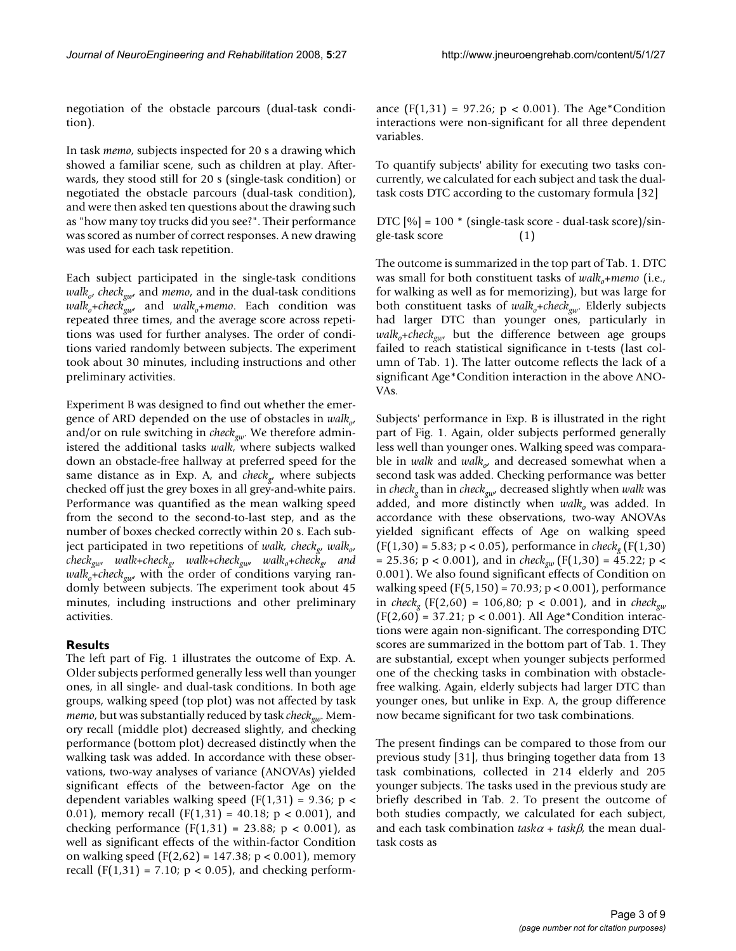negotiation of the obstacle parcours (dual-task condition).

In task *memo*, subjects inspected for 20 s a drawing which showed a familiar scene, such as children at play. Afterwards, they stood still for 20 s (single-task condition) or negotiated the obstacle parcours (dual-task condition), and were then asked ten questions about the drawing such as "how many toy trucks did you see?". Their performance was scored as number of correct responses. A new drawing was used for each task repetition.

Each subject participated in the single-task conditions  $walk_{o}$ , *check<sub>gw</sub>*, and *memo*, and in the dual-task conditions *walk*<sub>o</sub>+*check*<sub>gw</sub>, and *walk*<sub>o</sub>+*memo*. Each condition was repeated three times, and the average score across repetitions was used for further analyses. The order of conditions varied randomly between subjects. The experiment took about 30 minutes, including instructions and other preliminary activities.

Experiment B was designed to find out whether the emergence of ARD depended on the use of obstacles in *walk*<sub>o</sub>, and/or on rule switching in *check<sub>gw</sub>*. We therefore administered the additional tasks *walk*, where subjects walked down an obstacle-free hallway at preferred speed for the same distance as in Exp. A, and *check*<sub>g</sub>, where subjects checked off just the grey boxes in all grey-and-white pairs. Performance was quantified as the mean walking speed from the second to the second-to-last step, and as the number of boxes checked correctly within 20 s. Each subject participated in two repetitions of *walk*, *check*<sub>*v*</sub>, *walk*<sub>0</sub>, *checkgw*, *walk+checkg*, *walk+checkgw*, *walko*+*checkg*, *and*  $walk_0 + check_{gw}$  with the order of conditions varying randomly between subjects. The experiment took about 45 minutes, including instructions and other preliminary activities.

#### **Results**

The left part of Fig. 1 illustrates the outcome of Exp. A. Older subjects performed generally less well than younger ones, in all single- and dual-task conditions. In both age groups, walking speed (top plot) was not affected by task *memo*, but was substantially reduced by task *check<sub>gw</sub>*. Memory recall (middle plot) decreased slightly, and checking performance (bottom plot) decreased distinctly when the walking task was added. In accordance with these observations, two-way analyses of variance (ANOVAs) yielded significant effects of the between-factor Age on the dependent variables walking speed  $(F(1,31) = 9.36; p <$ 0.01), memory recall  $(F(1,31) = 40.18; p < 0.001)$ , and checking performance  $(F(1,31) = 23.88; p < 0.001)$ , as well as significant effects of the within-factor Condition on walking speed  $(F(2,62) = 147.38; p < 0.001)$ , memory recall  $(F(1,31) = 7.10; p < 0.05)$ , and checking performance  $(F(1,31) = 97.26; p < 0.001)$ . The Age\*Condition interactions were non-significant for all three dependent variables.

To quantify subjects' ability for executing two tasks concurrently, we calculated for each subject and task the dualtask costs DTC according to the customary formula [32]

DTC [%] = 100 \* (single-task score - dual-task score)/single-task score (1)

The outcome is summarized in the top part of Tab. 1. DTC was small for both constituent tasks of *walk*<sub>o</sub>+*memo* (i.e., for walking as well as for memorizing), but was large for both constituent tasks of *walk*<sub>o</sub>+*check<sub>gw</sub>*. Elderly subjects had larger DTC than younger ones, particularly in  $walk_0 + check_{\text{env}}$  but the difference between age groups failed to reach statistical significance in t-tests (last column of Tab. 1). The latter outcome reflects the lack of a significant Age\*Condition interaction in the above ANO-VAs.

Subjects' performance in Exp. B is illustrated in the right part of Fig. 1. Again, older subjects performed generally less well than younger ones. Walking speed was comparable in *walk* and *walk*<sup>*o*</sup>, and decreased somewhat when a second task was added. Checking performance was better in *check<sub>g</sub>* than in *check<sub>gw</sub>*, decreased slightly when *walk* was added, and more distinctly when *walk*<sub>o</sub> was added. In accordance with these observations, two-way ANOVAs yielded significant effects of Age on walking speed  $(F(1,30) = 5.83; p < 0.05)$ , performance in *check<sub>g</sub>*  $(F(1,30))$ = 25.36; p < 0.001), and in *checkgw* (F(1,30) = 45.22; p < 0.001). We also found significant effects of Condition on walking speed  $(F(5,150) = 70.93; p < 0.001)$ , performance in *check<sub>g</sub>* (F(2,60) = 106,80; p < 0.001), and in *check<sub>gw</sub>*  $(F(2,60) = 37.21; p < 0.001)$ . All Age\*Condition interactions were again non-significant. The corresponding DTC scores are summarized in the bottom part of Tab. 1. They are substantial, except when younger subjects performed one of the checking tasks in combination with obstaclefree walking. Again, elderly subjects had larger DTC than younger ones, but unlike in Exp. A, the group difference now became significant for two task combinations.

The present findings can be compared to those from our previous study [31], thus bringing together data from 13 task combinations, collected in 214 elderly and 205 younger subjects. The tasks used in the previous study are briefly described in Tab. 2. To present the outcome of both studies compactly, we calculated for each subject, and each task combination *task*α *+ task*β, the mean dualtask costs as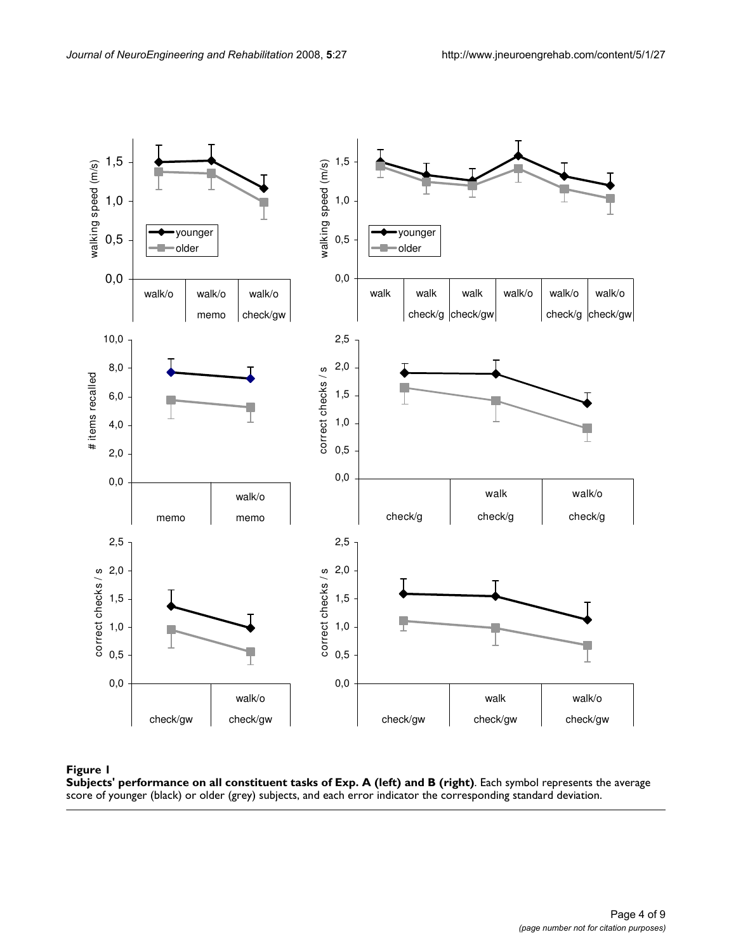

#### Figure 1

**Subjects' performance on all constituent tasks of Exp. A (left) and B (right)**. Each symbol represents the average score of younger (black) or older (grey) subjects, and each error indicator the corresponding standard deviation.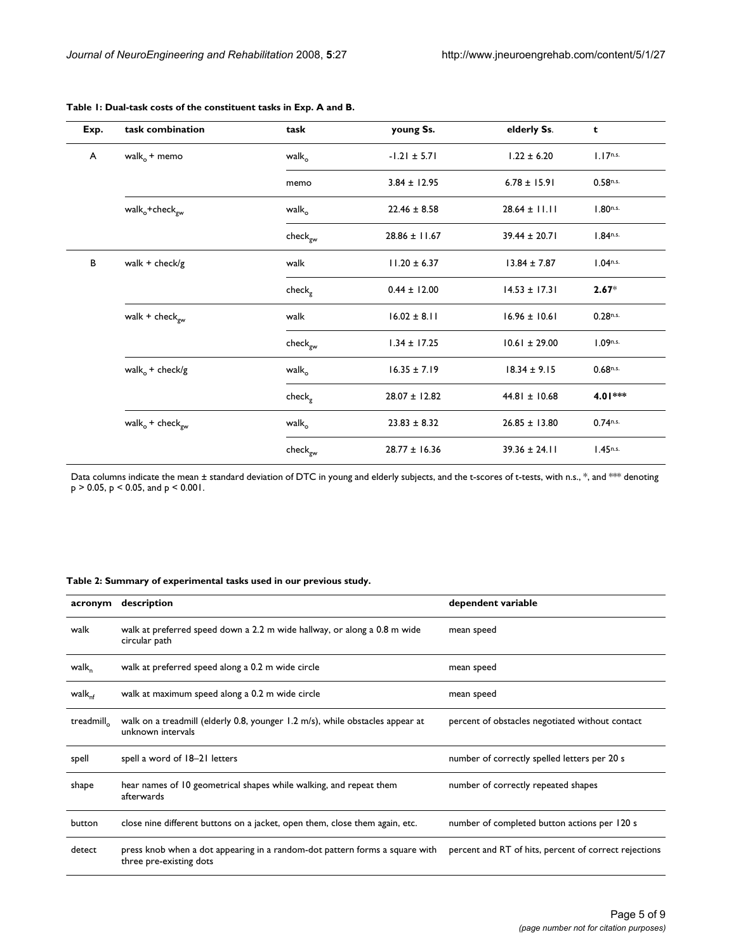| Exp. | task combination                       | task                           | young Ss.         | elderly Ss.       | t                    |
|------|----------------------------------------|--------------------------------|-------------------|-------------------|----------------------|
| A    | walk <sub>o</sub> + memo               | walk <sub>o</sub>              | $-1.21 \pm 5.71$  | $1.22 \pm 6.20$   | $1.17^{n.s.}$        |
|      |                                        | memo                           | $3.84 \pm 12.95$  | $6.78 \pm 15.91$  | $0.58$ n.s.          |
|      | walk <sub>o</sub> +check <sub>gw</sub> | walk <sub>o</sub>              | $22.46 \pm 8.58$  | $28.64 \pm 11.11$ | $1.80^{n.s.}$        |
|      |                                        | checkgw                        | $28.86 \pm 11.67$ | $39.44 \pm 20.71$ | 1.84n.s.             |
| В    | walk + check/g                         | walk                           | $11.20 \pm 6.37$  | $13.84 \pm 7.87$  | 1.04 <sub>n.s.</sub> |
|      |                                        | $check_{g}$                    | $0.44 \pm 12.00$  | $14.53 \pm 17.31$ | $2.67*$              |
|      | walk + check $_{\rm ew}$               | walk                           | $16.02 \pm 8.11$  | $16.96 \pm 10.61$ | $0.28^{n.s.}$        |
|      |                                        | $\mathsf{check}_{\mathsf{gw}}$ | $1.34 \pm 17.25$  | $10.61 \pm 29.00$ | 1.09n.s.             |
|      | walk <sub>o</sub> + check/g            | walk <sub>o</sub>              | $16.35 \pm 7.19$  | $18.34 \pm 9.15$  | $0.68$ n.s.          |
|      |                                        | $check_{g}$                    | $28.07 \pm 12.82$ | $44.81 \pm 10.68$ | $4.01***$            |
|      | walk <sub>o</sub> + check $_{gw}$      | walk <sub>o</sub>              | $23.83 \pm 8.32$  | $26.85 \pm 13.80$ | $0.74$ n.s.          |
|      |                                        | checkgw                        | $28.77 \pm 16.36$ | $39.36 \pm 24.11$ | $1.45^{n.s.}$        |

#### **Table 1: Dual-task costs of the constituent tasks in Exp. A and B.**

Data columns indicate the mean  $\pm$  standard deviation of DTC in young and elderly subjects, and the t-scores of t-tests, with n.s.,  $*$ , and  $^{*\!\bowtie\!\times}$  denoting p > 0.05, p < 0.05, and p < 0.001.

#### **Table 2: Summary of experimental tasks used in our previous study.**

| acronym                | description                                                                                            | dependent variable                                    |  |
|------------------------|--------------------------------------------------------------------------------------------------------|-------------------------------------------------------|--|
| walk                   | walk at preferred speed down a 2.2 m wide hallway, or along a 0.8 m wide<br>circular path              | mean speed                                            |  |
| $walk_{n}$             | walk at preferred speed along a 0.2 m wide circle                                                      | mean speed                                            |  |
| walk <sub>nf</sub>     | walk at maximum speed along a 0.2 m wide circle                                                        | mean speed                                            |  |
| treadmill <sub>o</sub> | walk on a treadmill (elderly 0.8, younger 1.2 m/s), while obstacles appear at<br>unknown intervals     | percent of obstacles negotiated without contact       |  |
| spell                  | spell a word of 18-21 letters                                                                          | number of correctly spelled letters per 20 s          |  |
| shape                  | hear names of 10 geometrical shapes while walking, and repeat them<br>afterwards                       | number of correctly repeated shapes                   |  |
| button                 | close nine different buttons on a jacket, open them, close them again, etc.                            | number of completed button actions per 120 s          |  |
| detect                 | press knob when a dot appearing in a random-dot pattern forms a square with<br>three pre-existing dots | percent and RT of hits, percent of correct rejections |  |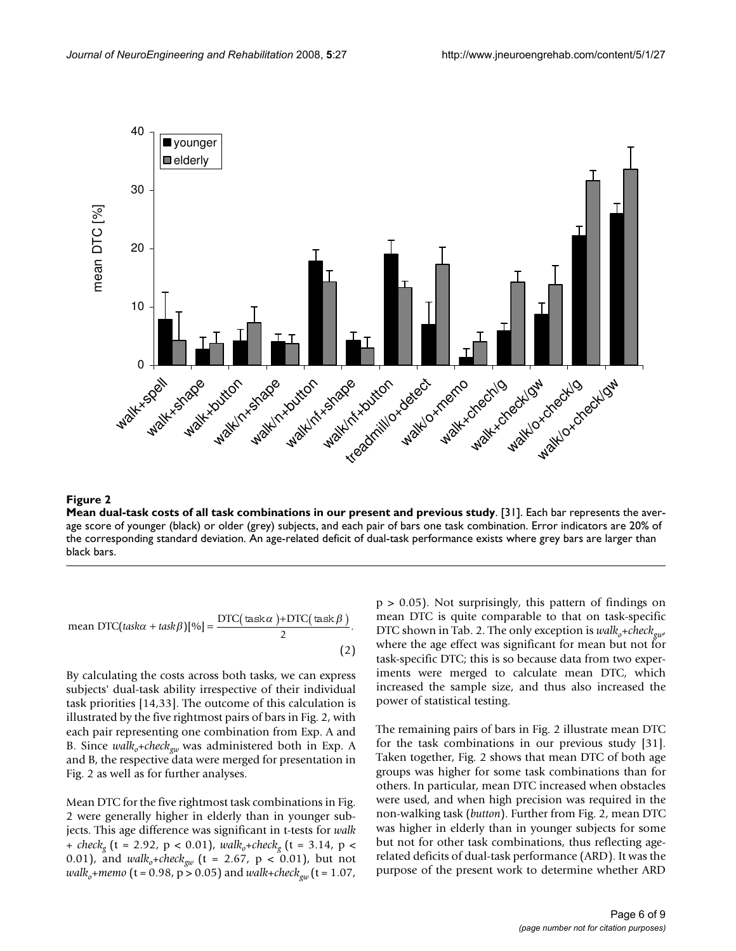

#### Mean dual-task costs of all task combinat **Figure 2** ions in our present and previous study

**Mean dual-task costs of all task combinations in our present and previous study**. [31]. Each bar represents the average score of younger (black) or older (grey) subjects, and each pair of bars one task combination. Error indicators are 20% of the corresponding standard deviation. An age-related deficit of dual-task performance exists where grey bars are larger than black bars.

mean DTC(taska + task
$$
\beta
$$
)[%] =  $\frac{DTC(\text{task }\alpha) + DTC(\text{task }\beta)}{2}$ . (2)

By calculating the costs across both tasks, we can express subjects' dual-task ability irrespective of their individual task priorities [14,33]. The outcome of this calculation is illustrated by the five rightmost pairs of bars in Fig. 2, with each pair representing one combination from Exp. A and B. Since *walk*<sub>o</sub>+*check*<sub>*ow*</sub> was administered both in Exp. A and B, the respective data were merged for presentation in Fig. 2 as well as for further analyses.

Mean DTC for the five rightmost task combinations in Fig. 2 were generally higher in elderly than in younger subjects. This age difference was significant in t-tests for *walk + check<sub>g</sub>* (t = 2.92, p < 0.01),  $walk_o + check_g$  (t = 3.14, p < 0.01), and  $walk_0 + check_{gw}$  (t = 2.67, p < 0.01), but not  $walk_0 + memo (t = 0.98, p > 0.05)$  and  $walk + check_{gw} (t = 1.07,$   $p > 0.05$ ). Not surprisingly, this pattern of findings on mean DTC is quite comparable to that on task-specific DTC shown in Tab. 2. The only exception is *walk*<sub>o</sub>+*check*<sub>gw</sub>, where the age effect was significant for mean but not for task-specific DTC; this is so because data from two experiments were merged to calculate mean DTC, which increased the sample size, and thus also increased the power of statistical testing.

The remaining pairs of bars in Fig. 2 illustrate mean DTC for the task combinations in our previous study [31]. Taken together, Fig. 2 shows that mean DTC of both age groups was higher for some task combinations than for others. In particular, mean DTC increased when obstacles were used, and when high precision was required in the non-walking task (*button*). Further from Fig. 2, mean DTC was higher in elderly than in younger subjects for some but not for other task combinations, thus reflecting agerelated deficits of dual-task performance (ARD). It was the purpose of the present work to determine whether ARD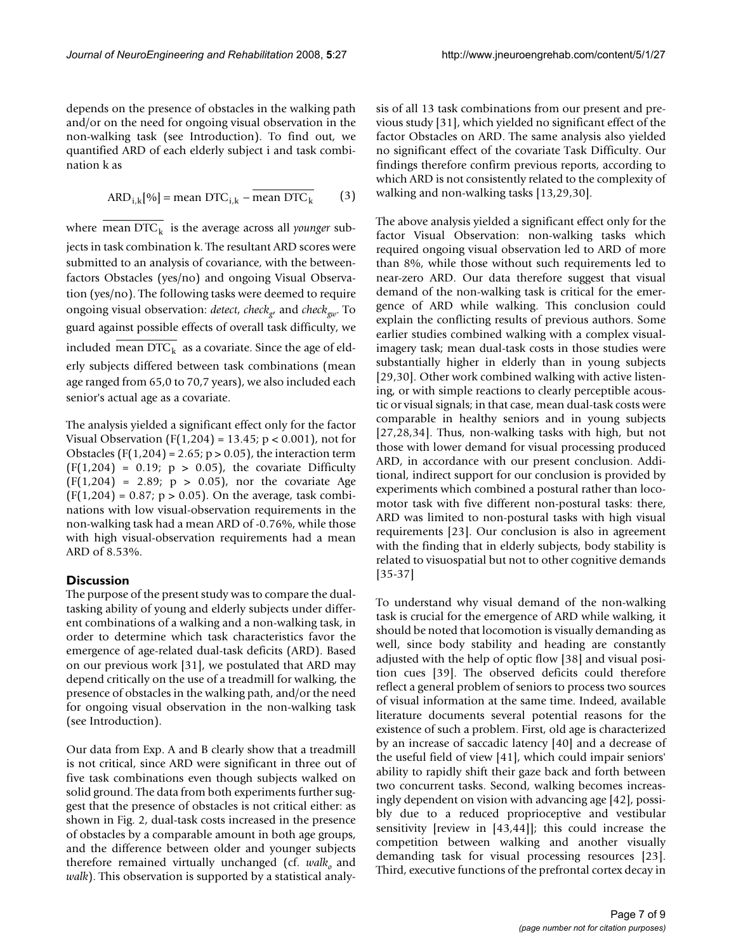depends on the presence of obstacles in the walking path and/or on the need for ongoing visual observation in the non-walking task (see Introduction). To find out, we quantified ARD of each elderly subject i and task combination k as

$$
ARD_{i,k}[\%] = \text{mean DTC}_{i,k} - \overline{\text{mean DTC}_k} \tag{3}
$$

where mean DTC<sub>k</sub> is the average across all *younger* subjects in task combination k. The resultant ARD scores were submitted to an analysis of covariance, with the betweenfactors Obstacles (yes/no) and ongoing Visual Observation (yes/no). The following tasks were deemed to require ongoing visual observation: *detect*, *checkg*, and *checkgw*. To guard against possible effects of overall task difficulty, we included mean DTC $_{\rm k}$  as a covariate. Since the age of elderly subjects differed between task combinations (mean age ranged from 65,0 to 70,7 years), we also included each senior's actual age as a covariate.

The analysis yielded a significant effect only for the factor Visual Observation (F $(1,204) = 13.45$ ; p < 0.001), not for Obstacles (F(1,204) = 2.65;  $p > 0.05$ ), the interaction term  $(F(1,204) = 0.19; p > 0.05)$ , the covariate Difficulty  $(F(1,204) = 2.89; p > 0.05)$ , nor the covariate Age  $(F(1,204) = 0.87; p > 0.05)$ . On the average, task combinations with low visual-observation requirements in the non-walking task had a mean ARD of -0.76%, while those with high visual-observation requirements had a mean ARD of 8.53%.

#### **Discussion**

The purpose of the present study was to compare the dualtasking ability of young and elderly subjects under different combinations of a walking and a non-walking task, in order to determine which task characteristics favor the emergence of age-related dual-task deficits (ARD). Based on our previous work [31], we postulated that ARD may depend critically on the use of a treadmill for walking, the presence of obstacles in the walking path, and/or the need for ongoing visual observation in the non-walking task (see Introduction).

Our data from Exp. A and B clearly show that a treadmill is not critical, since ARD were significant in three out of five task combinations even though subjects walked on solid ground. The data from both experiments further suggest that the presence of obstacles is not critical either: as shown in Fig. 2, dual-task costs increased in the presence of obstacles by a comparable amount in both age groups, and the difference between older and younger subjects therefore remained virtually unchanged (cf. walk<sub>o</sub> and *walk*). This observation is supported by a statistical analysis of all 13 task combinations from our present and previous study [31], which yielded no significant effect of the factor Obstacles on ARD. The same analysis also yielded no significant effect of the covariate Task Difficulty. Our findings therefore confirm previous reports, according to which ARD is not consistently related to the complexity of walking and non-walking tasks [13,29,30].

The above analysis yielded a significant effect only for the factor Visual Observation: non-walking tasks which required ongoing visual observation led to ARD of more than 8%, while those without such requirements led to near-zero ARD. Our data therefore suggest that visual demand of the non-walking task is critical for the emergence of ARD while walking. This conclusion could explain the conflicting results of previous authors. Some earlier studies combined walking with a complex visualimagery task; mean dual-task costs in those studies were substantially higher in elderly than in young subjects [29,30]. Other work combined walking with active listening, or with simple reactions to clearly perceptible acoustic or visual signals; in that case, mean dual-task costs were comparable in healthy seniors and in young subjects [27,28,34]. Thus, non-walking tasks with high, but not those with lower demand for visual processing produced ARD, in accordance with our present conclusion. Additional, indirect support for our conclusion is provided by experiments which combined a postural rather than locomotor task with five different non-postural tasks: there, ARD was limited to non-postural tasks with high visual requirements [23]. Our conclusion is also in agreement with the finding that in elderly subjects, body stability is related to visuospatial but not to other cognitive demands [35-37]

To understand why visual demand of the non-walking task is crucial for the emergence of ARD while walking, it should be noted that locomotion is visually demanding as well, since body stability and heading are constantly adjusted with the help of optic flow [38] and visual position cues [39]. The observed deficits could therefore reflect a general problem of seniors to process two sources of visual information at the same time. Indeed, available literature documents several potential reasons for the existence of such a problem. First, old age is characterized by an increase of saccadic latency [40] and a decrease of the useful field of view [41], which could impair seniors' ability to rapidly shift their gaze back and forth between two concurrent tasks. Second, walking becomes increasingly dependent on vision with advancing age [42], possibly due to a reduced proprioceptive and vestibular sensitivity [review in [43,44]]; this could increase the competition between walking and another visually demanding task for visual processing resources [23]. Third, executive functions of the prefrontal cortex decay in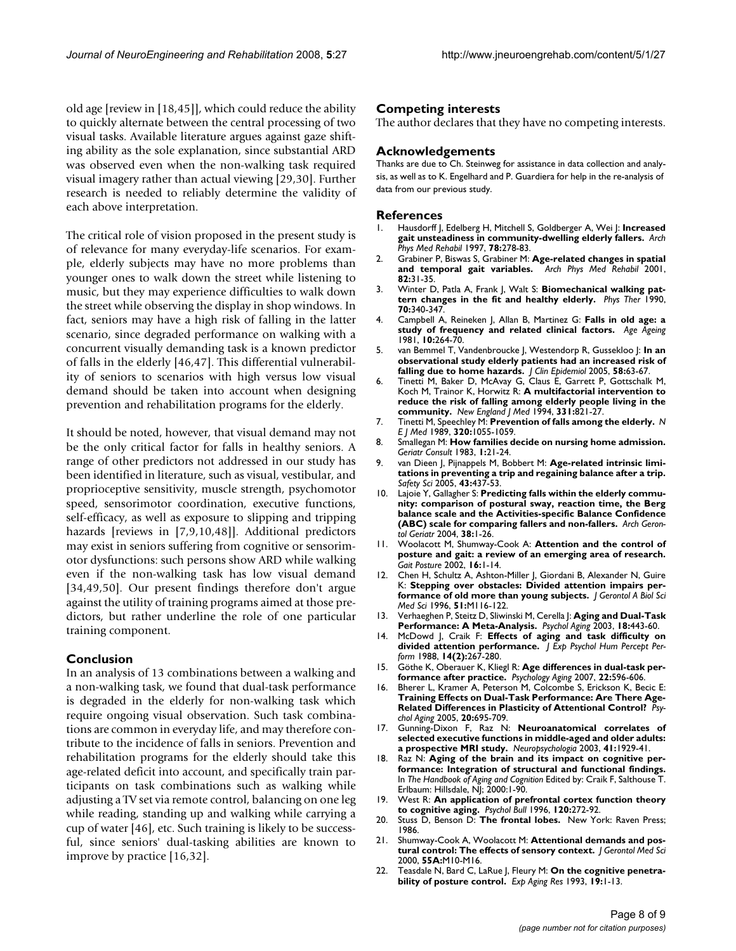old age [review in [18,45]], which could reduce the ability to quickly alternate between the central processing of two visual tasks. Available literature argues against gaze shifting ability as the sole explanation, since substantial ARD was observed even when the non-walking task required visual imagery rather than actual viewing [29,30]. Further research is needed to reliably determine the validity of each above interpretation.

The critical role of vision proposed in the present study is of relevance for many everyday-life scenarios. For example, elderly subjects may have no more problems than younger ones to walk down the street while listening to music, but they may experience difficulties to walk down the street while observing the display in shop windows. In fact, seniors may have a high risk of falling in the latter scenario, since degraded performance on walking with a concurrent visually demanding task is a known predictor of falls in the elderly [46,47]. This differential vulnerability of seniors to scenarios with high versus low visual demand should be taken into account when designing prevention and rehabilitation programs for the elderly.

It should be noted, however, that visual demand may not be the only critical factor for falls in healthy seniors. A range of other predictors not addressed in our study has been identified in literature, such as visual, vestibular, and proprioceptive sensitivity, muscle strength, psychomotor speed, sensorimotor coordination, executive functions, self-efficacy, as well as exposure to slipping and tripping hazards [reviews in [7,9,10,48]]. Additional predictors may exist in seniors suffering from cognitive or sensorimotor dysfunctions: such persons show ARD while walking even if the non-walking task has low visual demand [34,49,50]. Our present findings therefore don't argue against the utility of training programs aimed at those predictors, but rather underline the role of one particular training component.

#### **Conclusion**

In an analysis of 13 combinations between a walking and a non-walking task, we found that dual-task performance is degraded in the elderly for non-walking task which require ongoing visual observation. Such task combinations are common in everyday life, and may therefore contribute to the incidence of falls in seniors. Prevention and rehabilitation programs for the elderly should take this age-related deficit into account, and specifically train participants on task combinations such as walking while adjusting a TV set via remote control, balancing on one leg while reading, standing up and walking while carrying a cup of water [46], etc. Such training is likely to be successful, since seniors' dual-tasking abilities are known to improve by practice [16,32].

#### **Competing interests**

The author declares that they have no competing interests.

#### **Acknowledgements**

Thanks are due to Ch. Steinweg for assistance in data collection and analysis, as well as to K. Engelhard and P. Guardiera for help in the re-analysis of data from our previous study.

#### **References**

- 1. Hausdorff J, Edelberg H, Mitchell S, Goldberger A, Wei J: **[Increased](http://www.ncbi.nlm.nih.gov/entrez/query.fcgi?cmd=Retrieve&db=PubMed&dopt=Abstract&list_uids=9084350) [gait unsteadiness in community-dwelling elderly fallers.](http://www.ncbi.nlm.nih.gov/entrez/query.fcgi?cmd=Retrieve&db=PubMed&dopt=Abstract&list_uids=9084350)** *Arch Phys Med Rehabil* 1997, **78:**278-83.
- 2. Grabiner P, Biswas S, Grabiner M: **[Age-related changes in spatial](http://www.ncbi.nlm.nih.gov/entrez/query.fcgi?cmd=Retrieve&db=PubMed&dopt=Abstract&list_uids=11239283) [and temporal gait variables.](http://www.ncbi.nlm.nih.gov/entrez/query.fcgi?cmd=Retrieve&db=PubMed&dopt=Abstract&list_uids=11239283)** *Arch Phys Med Rehabil* 2001, **82:**31-35.
- 3. Winter D, Patla A, Frank J, Walt S: **[Biomechanical walking pat](http://www.ncbi.nlm.nih.gov/entrez/query.fcgi?cmd=Retrieve&db=PubMed&dopt=Abstract&list_uids=2345777)[tern changes in the fit and healthy elderly.](http://www.ncbi.nlm.nih.gov/entrez/query.fcgi?cmd=Retrieve&db=PubMed&dopt=Abstract&list_uids=2345777)** *Phys Ther* 1990, **70:**340-347.
- 4. Campbell A, Reineken J, Allan B, Martinez G: **[Falls in old age: a](http://www.ncbi.nlm.nih.gov/entrez/query.fcgi?cmd=Retrieve&db=PubMed&dopt=Abstract&list_uids=7337066) [study of frequency and related clinical factors.](http://www.ncbi.nlm.nih.gov/entrez/query.fcgi?cmd=Retrieve&db=PubMed&dopt=Abstract&list_uids=7337066)** *Age Ageing* 1981, **10:**264-70.
- 5. van Bemmel T, Vandenbroucke J, Westendorp R, Gussekloo J: **[In an](http://www.ncbi.nlm.nih.gov/entrez/query.fcgi?cmd=Retrieve&db=PubMed&dopt=Abstract&list_uids=15649672) [observational study elderly patients had an increased risk of](http://www.ncbi.nlm.nih.gov/entrez/query.fcgi?cmd=Retrieve&db=PubMed&dopt=Abstract&list_uids=15649672) [falling due to home hazards.](http://www.ncbi.nlm.nih.gov/entrez/query.fcgi?cmd=Retrieve&db=PubMed&dopt=Abstract&list_uids=15649672)** *J Clin Epidemiol* 2005, **58:**63-67.
- 6. Tinetti M, Baker D, McAvay G, Claus E, Garrett P, Gottschalk M, Koch M, Trainor K, Horwitz R: **A multifactorial intervention to reduce the risk of falling among elderly people living in the community.** *New England J Med* 1994, **331:**821-27.
- 7. Tinetti M, Speechley M: **Prevention of falls among the elderly.** *N E J Med* 1989, **320:**1055-1059.
- 8. Smallegan M: **How families decide on nursing home admission.** *Geriatr Consult* 1983, **1:**21-24.
- 9. van Dieen J, Pijnappels M, Bobbert M: **Age-related intrinsic limitations in preventing a trip and regaining balance after a trip.** *Safety Sci* 2005, **43:**437-53.
- 10. Lajoie Y, Gallagher S: **[Predicting falls within the elderly commu](http://www.ncbi.nlm.nih.gov/entrez/query.fcgi?cmd=Retrieve&db=PubMed&dopt=Abstract&list_uids=14599699)nity: comparison of postural sway, reaction time, the Berg [balance scale and the Activities-specific Balance Confidence](http://www.ncbi.nlm.nih.gov/entrez/query.fcgi?cmd=Retrieve&db=PubMed&dopt=Abstract&list_uids=14599699) [\(ABC\) scale for comparing fallers and non-fallers.](http://www.ncbi.nlm.nih.gov/entrez/query.fcgi?cmd=Retrieve&db=PubMed&dopt=Abstract&list_uids=14599699)** *Arch Gerontol Geriatr* 2004, **38:**1-26.
- 11. Woolacott M, Shumway-Cook A: **[Attention and the control of](http://www.ncbi.nlm.nih.gov/entrez/query.fcgi?cmd=Retrieve&db=PubMed&dopt=Abstract&list_uids=12127181) [posture and gait: a review of an emerging area of research.](http://www.ncbi.nlm.nih.gov/entrez/query.fcgi?cmd=Retrieve&db=PubMed&dopt=Abstract&list_uids=12127181)** *Gait Posture* 2002, **16:**1-14.
- 12. Chen H, Schultz A, Ashton-Miller J, Giordani B, Alexander N, Guire K: **[Stepping over obstacles: Divided attention impairs per](http://www.ncbi.nlm.nih.gov/entrez/query.fcgi?cmd=Retrieve&db=PubMed&dopt=Abstract&list_uids=8630704)[formance of old more than young subjects.](http://www.ncbi.nlm.nih.gov/entrez/query.fcgi?cmd=Retrieve&db=PubMed&dopt=Abstract&list_uids=8630704)** *J Gerontol A Biol Sci Med Sci* 1996, **51:**M116-122.
- 13. Verhaeghen P, Steitz D, Sliwinski M, Cerella J: **[Aging and Dual-Task](http://www.ncbi.nlm.nih.gov/entrez/query.fcgi?cmd=Retrieve&db=PubMed&dopt=Abstract&list_uids=14518807) [Performance: A Meta-Analysis.](http://www.ncbi.nlm.nih.gov/entrez/query.fcgi?cmd=Retrieve&db=PubMed&dopt=Abstract&list_uids=14518807)** *Psychol Aging* 2003, **18:**443-60.
- 14. McDowd J, Craik F: **[Effects of aging and task difficulty on](http://www.ncbi.nlm.nih.gov/entrez/query.fcgi?cmd=Retrieve&db=PubMed&dopt=Abstract&list_uids=2967880) [divided attention performance.](http://www.ncbi.nlm.nih.gov/entrez/query.fcgi?cmd=Retrieve&db=PubMed&dopt=Abstract&list_uids=2967880)** *J Exp Psychol Hum Percept Perform* 1988, **14(2):**267-280.
- 15. Göthe K, Oberauer K, Kliegl R: **Age differences in dual-task performance after practice.** *Psychology Aging* 2007, **22:**596-606.
- 16. Bherer L, Kramer A, Peterson M, Colcombe S, Erickson K, Becic E: **[Training Effects on Dual-Task Performance: Are There Age-](http://www.ncbi.nlm.nih.gov/entrez/query.fcgi?cmd=Retrieve&db=PubMed&dopt=Abstract&list_uids=16420143)[Related Differences in Plasticity of Attentional Control?](http://www.ncbi.nlm.nih.gov/entrez/query.fcgi?cmd=Retrieve&db=PubMed&dopt=Abstract&list_uids=16420143)** *Psychol Aging* 2005, **20:**695-709.
- 17. Gunning-Dixon F, Raz N: **[Neuroanatomical correlates of](http://www.ncbi.nlm.nih.gov/entrez/query.fcgi?cmd=Retrieve&db=PubMed&dopt=Abstract&list_uids=14572526) [selected executive functions in middle-aged and older adults:](http://www.ncbi.nlm.nih.gov/entrez/query.fcgi?cmd=Retrieve&db=PubMed&dopt=Abstract&list_uids=14572526) [a prospective MRI study.](http://www.ncbi.nlm.nih.gov/entrez/query.fcgi?cmd=Retrieve&db=PubMed&dopt=Abstract&list_uids=14572526)** *Neuropsychologia* 2003, **41:**1929-41.
- 18. Raz N: **Aging of the brain and its impact on cognitive performance: Integration of structural and functional findings.** In *The Handbook of Aging and Cognition* Edited by: Craik F, Salthouse T. Erlbaum: Hillsdale, NJ; 2000:1-90.
- 19. West R: **[An application of prefrontal cortex function theory](http://www.ncbi.nlm.nih.gov/entrez/query.fcgi?cmd=Retrieve&db=PubMed&dopt=Abstract&list_uids=8831298) [to cognitive aging.](http://www.ncbi.nlm.nih.gov/entrez/query.fcgi?cmd=Retrieve&db=PubMed&dopt=Abstract&list_uids=8831298)** *Psychol Bull* 1996, **120:**272-92.
- 20. Stuss D, Benson D: **The frontal lobes.** New York: Raven Press; 1986.
- 21. Shumway-Cook A, Woolacott M: **Attentional demands and postural control: The effects of sensory context.** *J Gerontol Med Sci* 2000, **55A:**M10-M16.
- 22. Teasdale N, Bard C, LaRue J, Fleury M: **[On the cognitive penetra](http://www.ncbi.nlm.nih.gov/entrez/query.fcgi?cmd=Retrieve&db=PubMed&dopt=Abstract&list_uids=8444263)[bility of posture control.](http://www.ncbi.nlm.nih.gov/entrez/query.fcgi?cmd=Retrieve&db=PubMed&dopt=Abstract&list_uids=8444263)** *Exp Aging Res* 1993, **19:**1-13.